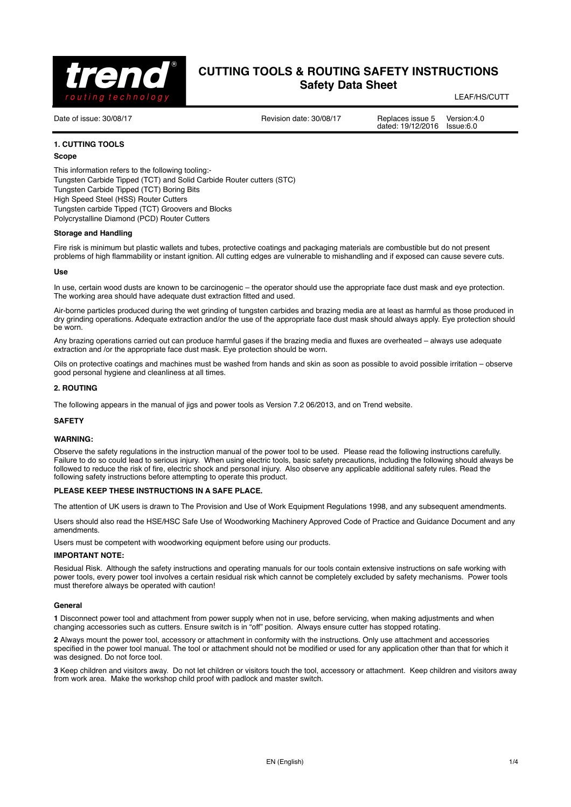

LEAF/HS/CUTT

Date of issue: 30/08/17 <br>Date of issue: 30/08/17 Replaces issue 5 Version: 4.0 dated: 19/12/2016

## **1. CUTTING TOOLS**

### **Scope**

This information refers to the following tooling:- Tungsten Carbide Tipped (TCT) and Solid Carbide Router cutters (STC) Tungsten Carbide Tipped (TCT) Boring Bits High Speed Steel (HSS) Router Cutters Tungsten carbide Tipped (TCT) Groovers and Blocks Polycrystalline Diamond (PCD) Router Cutters

#### **Storage and Handling**

Fire risk is minimum but plastic wallets and tubes, protective coatings and packaging materials are combustible but do not present problems of high flammability or instant ignition. All cutting edges are vulnerable to mishandling and if exposed can cause severe cuts.

#### **Use**

In use, certain wood dusts are known to be carcinogenic – the operator should use the appropriate face dust mask and eye protection. The working area should have adequate dust extraction fitted and used.

Air-borne particles produced during the wet grinding of tungsten carbides and brazing media are at least as harmful as those produced in dry grinding operations. Adequate extraction and/or the use of the appropriate face dust mask should always apply. Eye protection should be worn.

Any brazing operations carried out can produce harmful gases if the brazing media and fluxes are overheated – always use adequate extraction and /or the appropriate face dust mask. Eye protection should be worn.

Oils on protective coatings and machines must be washed from hands and skin as soon as possible to avoid possible irritation – observe good personal hygiene and cleanliness at all times.

### **2. ROUTING**

The following appears in the manual of jigs and power tools as Version 7.2 06/2013, and on Trend website.

#### **SAFETY**

#### **WARNING:**

Observe the safety regulations in the instruction manual of the power tool to be used. Please read the following instructions carefully. Failure to do so could lead to serious injury. When using electric tools, basic safety precautions, including the following should always be followed to reduce the risk of fire, electric shock and personal injury. Also observe any applicable additional safety rules. Read the following safety instructions before attempting to operate this product.

## **PLEASE KEEP THESE INSTRUCTIONS IN A SAFE PLACE.**

The attention of UK users is drawn to The Provision and Use of Work Equipment Regulations 1998, and any subsequent amendments.

Users should also read the HSE/HSC Safe Use of Woodworking Machinery Approved Code of Practice and Guidance Document and any amendments.

Users must be competent with woodworking equipment before using our products.

## **IMPORTANT NOTE:**

Residual Risk. Although the safety instructions and operating manuals for our tools contain extensive instructions on safe working with power tools, every power tool involves a certain residual risk which cannot be completely excluded by safety mechanisms. Power tools must therefore always be operated with caution!

#### **General**

**1** Disconnect power tool and attachment from power supply when not in use, before servicing, when making adjustments and when changing accessories such as cutters. Ensure switch is in "off" position. Always ensure cutter has stopped rotating.

**2** Always mount the power tool, accessory or attachment in conformity with the instructions. Only use attachment and accessories specified in the power tool manual. The tool or attachment should not be modified or used for any application other than that for which it was designed. Do not force tool.

**3** Keep children and visitors away. Do not let children or visitors touch the tool, accessory or attachment. Keep children and visitors away from work area. Make the workshop child proof with padlock and master switch.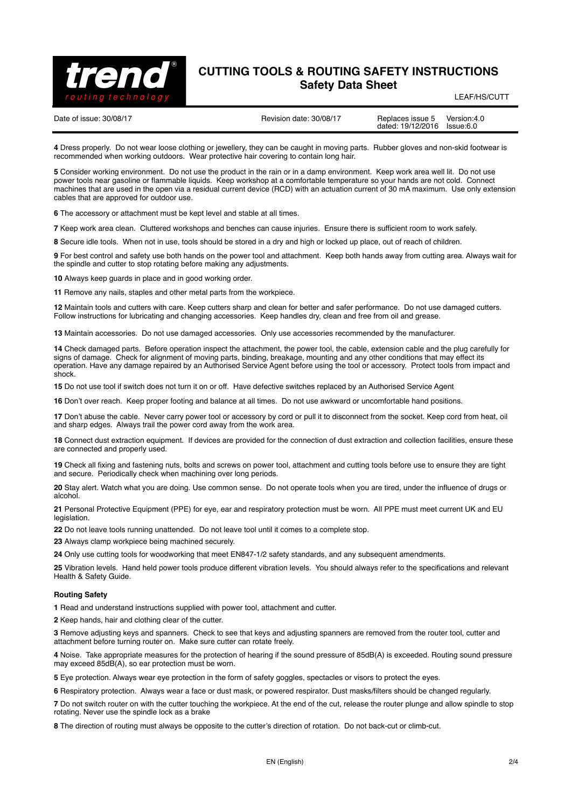

LEAF/HS/CUTT

Date of issue: 30/08/17 <br>Date of issue: 30/08/17 Replaces issue 5 Version: 4.0 dated: 19/12/2016

**4** Dress properly. Do not wear loose clothing or jewellery, they can be caught in moving parts. Rubber gloves and non-skid footwear is recommended when working outdoors. Wear protective hair covering to contain long hair.

**5** Consider working environment. Do not use the product in the rain or in a damp environment. Keep work area well lit. Do not use power tools near gasoline or flammable liquids. Keep workshop at a comfortable temperature so your hands are not cold. Connect machines that are used in the open via a residual current device (RCD) with an actuation current of 30 mA maximum. Use only extension cables that are approved for outdoor use.

**6** The accessory or attachment must be kept level and stable at all times.

**7** Keep work area clean. Cluttered workshops and benches can cause injuries. Ensure there is sufficient room to work safely.

**8** Secure idle tools. When not in use, tools should be stored in a dry and high or locked up place, out of reach of children.

**9** For best control and safety use both hands on the power tool and attachment. Keep both hands away from cutting area. Always wait for the spindle and cutter to stop rotating before making any adjustments.

**10** Always keep guards in place and in good working order.

**11** Remove any nails, staples and other metal parts from the workpiece.

**12** Maintain tools and cutters with care. Keep cutters sharp and clean for better and safer performance. Do not use damaged cutters. Follow instructions for lubricating and changing accessories. Keep handles dry, clean and free from oil and grease.

**13** Maintain accessories. Do not use damaged accessories. Only use accessories recommended by the manufacturer.

**14** Check damaged parts. Before operation inspect the attachment, the power tool, the cable, extension cable and the plug carefully for signs of damage. Check for alignment of moving parts, binding, breakage, mounting and any other conditions that may effect its operation. Have any damage repaired by an Authorised Service Agent before using the tool or accessory. Protect tools from impact and shock.

**15** Do not use tool if switch does not turn it on or off. Have defective switches replaced by an Authorised Service Agent

**16** Don't over reach. Keep proper footing and balance at all times. Do not use awkward or uncomfortable hand positions.

**17** Don't abuse the cable. Never carry power tool or accessory by cord or pull it to disconnect from the socket. Keep cord from heat, oil and sharp edges. Always trail the power cord away from the work area.

**18** Connect dust extraction equipment. If devices are provided for the connection of dust extraction and collection facilities, ensure these are connected and properly used.

**19** Check all fixing and fastening nuts, bolts and screws on power tool, attachment and cutting tools before use to ensure they are tight and secure. Periodically check when machining over long periods.

**20** Stay alert. Watch what you are doing. Use common sense. Do not operate tools when you are tired, under the influence of drugs or alcohol.

**21** Personal Protective Equipment (PPE) for eye, ear and respiratory protection must be worn. All PPE must meet current UK and EU legislation.

**22** Do not leave tools running unattended. Do not leave tool until it comes to a complete stop.

**23** Always clamp workpiece being machined securely.

**24** Only use cutting tools for woodworking that meet EN847-1/2 safety standards, and any subsequent amendments.

**25** Vibration levels. Hand held power tools produce different vibration levels. You should always refer to the specifications and relevant Health & Safety Guide.

#### **Routing Safety**

**1** Read and understand instructions supplied with power tool, attachment and cutter.

**2** Keep hands, hair and clothing clear of the cutter.

**3** Remove adjusting keys and spanners. Check to see that keys and adjusting spanners are removed from the router tool, cutter and attachment before turning router on. Make sure cutter can rotate freely.

**4** Noise. Take appropriate measures for the protection of hearing if the sound pressure of 85dB(A) is exceeded. Routing sound pressure may exceed 85dB(A), so ear protection must be worn.

**5** Eye protection. Always wear eye protection in the form of safety goggles, spectacles or visors to protect the eyes.

**6** Respiratory protection. Always wear a face or dust mask, or powered respirator. Dust masks/filters should be changed regularly.

**7** Do not switch router on with the cutter touching the workpiece. At the end of the cut, release the router plunge and allow spindle to stop rotating. Never use the spindle lock as a brake

**8** The direction of routing must always be opposite to the cutter's direction of rotation. Do not back-cut or climb-cut.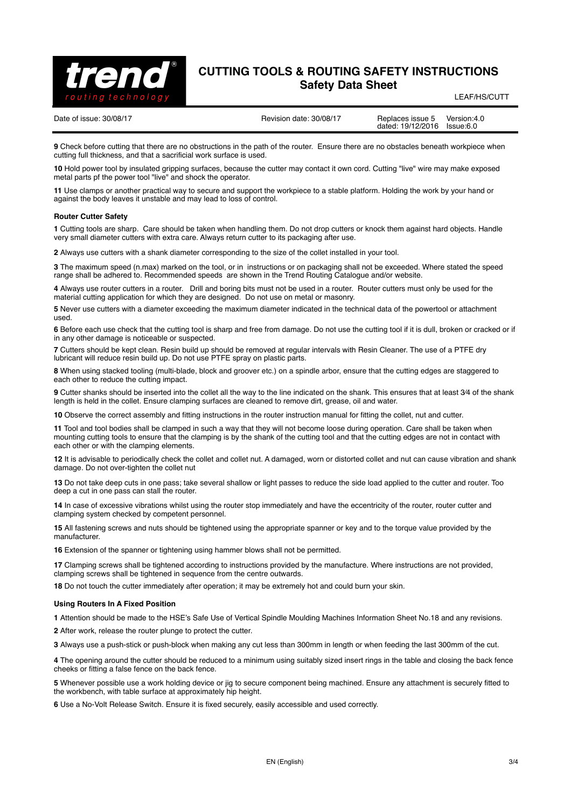

LEAF/HS/CUTT

Date of issue: 30/08/17 <br>Date of issue: 30/08/17 Replaces issue 5 Version: 4.0 dated: 19/12/2016

**9** Check before cutting that there are no obstructions in the path of the router. Ensure there are no obstacles beneath workpiece when cutting full thickness, and that a sacrificial work surface is used.

**10** Hold power tool by insulated gripping surfaces, because the cutter may contact it own cord. Cutting "live" wire may make exposed metal parts pf the power tool "live" and shock the operator.

**11** Use clamps or another practical way to secure and support the workpiece to a stable platform. Holding the work by your hand or against the body leaves it unstable and may lead to loss of control.

### **Router Cutter Safety**

**1** Cutting tools are sharp. Care should be taken when handling them. Do not drop cutters or knock them against hard objects. Handle very small diameter cutters with extra care. Always return cutter to its packaging after use.

**2** Always use cutters with a shank diameter corresponding to the size of the collet installed in your tool.

**3** The maximum speed (n.max) marked on the tool, or in instructions or on packaging shall not be exceeded. Where stated the speed range shall be adhered to. Recommended speeds are shown in the Trend Routing Catalogue and/or website.

**4** Always use router cutters in a router. Drill and boring bits must not be used in a router. Router cutters must only be used for the material cutting application for which they are designed. Do not use on metal or masonry.

**5** Never use cutters with a diameter exceeding the maximum diameter indicated in the technical data of the powertool or attachment used.

**6** Before each use check that the cutting tool is sharp and free from damage. Do not use the cutting tool if it is dull, broken or cracked or if in any other damage is noticeable or suspected.

**7** Cutters should be kept clean. Resin build up should be removed at regular intervals with Resin Cleaner. The use of a PTFE dry lubricant will reduce resin build up. Do not use PTFE spray on plastic parts.

**8** When using stacked tooling (multi-blade, block and groover etc.) on a spindle arbor, ensure that the cutting edges are staggered to each other to reduce the cutting impact.

**9** Cutter shanks should be inserted into the collet all the way to the line indicated on the shank. This ensures that at least 3⁄4 of the shank length is held in the collet. Ensure clamping surfaces are cleaned to remove dirt, grease, oil and water.

**10** Observe the correct assembly and fitting instructions in the router instruction manual for fitting the collet, nut and cutter.

**11** Tool and tool bodies shall be clamped in such a way that they will not become loose during operation. Care shall be taken when mounting cutting tools to ensure that the clamping is by the shank of the cutting tool and that the cutting edges are not in contact with each other or with the clamping elements.

**12** It is advisable to periodically check the collet and collet nut. A damaged, worn or distorted collet and nut can cause vibration and shank damage. Do not over-tighten the collet nut

**13** Do not take deep cuts in one pass; take several shallow or light passes to reduce the side load applied to the cutter and router. Too deep a cut in one pass can stall the router.

**14** In case of excessive vibrations whilst using the router stop immediately and have the eccentricity of the router, router cutter and clamping system checked by competent personnel.

**15** All fastening screws and nuts should be tightened using the appropriate spanner or key and to the torque value provided by the manufacturer.

**16** Extension of the spanner or tightening using hammer blows shall not be permitted.

**17** Clamping screws shall be tightened according to instructions provided by the manufacture. Where instructions are not provided, clamping screws shall be tightened in sequence from the centre outwards.

**18** Do not touch the cutter immediately after operation; it may be extremely hot and could burn your skin.

#### **Using Routers In A Fixed Position**

**1** Attention should be made to the HSE's Safe Use of Vertical Spindle Moulding Machines Information Sheet No.18 and any revisions.

**2** After work, release the router plunge to protect the cutter.

**3** Always use a push-stick or push-block when making any cut less than 300mm in length or when feeding the last 300mm of the cut.

**4** The opening around the cutter should be reduced to a minimum using suitably sized insert rings in the table and closing the back fence cheeks or fitting a false fence on the back fence.

**5** Whenever possible use a work holding device or jig to secure component being machined. Ensure any attachment is securely fitted to the workbench, with table surface at approximately hip height.

**6** Use a No-Volt Release Switch. Ensure it is fixed securely, easily accessible and used correctly.